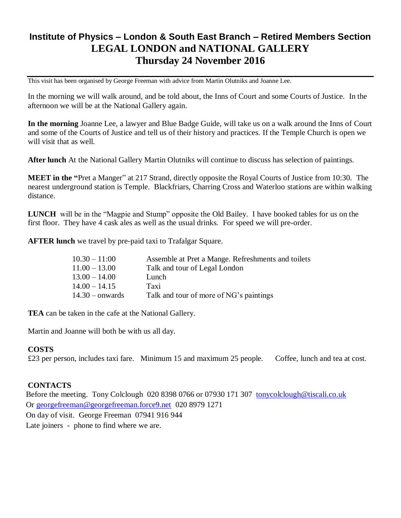## **Institute of Physics – London & South East Branch – Retired Members Section LEGAL LONDON and NATIONAL GALLERY Thursday 24 November 2016**

This visit has been organised by George Freeman with advice from Martin Olutniks and Joanne Lee.

In the morning we will walk around, and be told about, the Inns of Court and some Courts of Justice. In the afternoon we will be at the National Gallery again.

**In the morning** Joanne Lee, a lawyer and Blue Badge Guide, will take us on a walk around the Inns of Court and some of the Courts of Justice and tell us of their history and practices. If the Temple Church is open we will visit that as well.

**After lunch** At the National Gallery Martin Olutniks will continue to discuss has selection of paintings.

**MEET in the "**Pret a Manger" at 217 Strand, directly opposite the Royal Courts of Justice from 10:30. The nearest underground station is Temple. Blackfriars, Charring Cross and Waterloo stations are within walking distance.

**LUNCH** will be in the "Magpie and Stump" opposite the Old Bailey. I have booked tables for us on the first floor. They have 4 cask ales as well as the usual drinks. For speed we will pre-order.

**AFTER lunch** we travel by pre-paid taxi to Trafalgar Square.

| $10.30 - 11:00$   | Assemble at Pret a Mange. Refreshments and toilets |
|-------------------|----------------------------------------------------|
| $11.00 - 13.00$   | Talk and tour of Legal London                      |
| $13.00 - 14.00$   | Lunch                                              |
| $14.00 - 14.15$   | Taxi                                               |
| $14.30 -$ onwards | Talk and tour of more of NG's paintings            |

**TEA** can be taken in the cafe at the National Gallery.

Martin and Joanne will both be with us all day.

## **COSTS**

£23 per person, includes taxi fare. Minimum 15 and maximum 25 people. Coffee, lunch and tea at cost.

## **CONTACTS**

Before the meeting. Tony Colclough 020 8398 0766 or 07930 171 307 [tonycolclough@tiscali.co.uk](mailto:tonycolclough@tiscali.co.uk) Or [georgefreeman@georgefreeman.force9.net](mailto:georgefreeman@georgefreeman.force9.net) 020 8979 1271 On day of visit. George Freeman 07941 916 944 Late joiners - phone to find where we are.